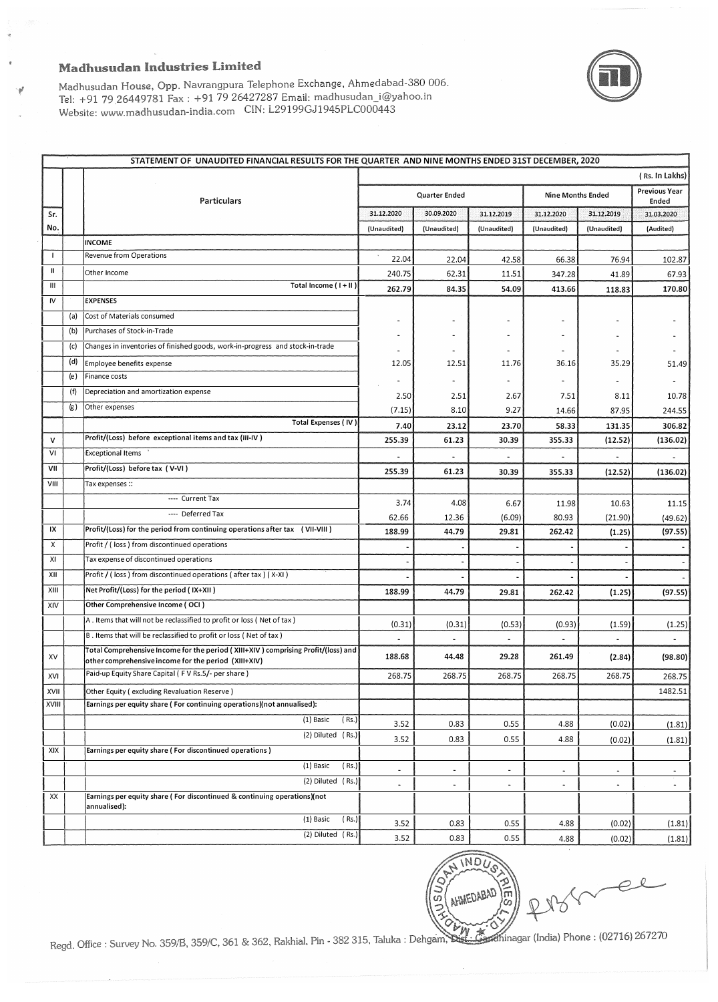## **Madhusudan Industries Limited**

Ŵ



Te!: +91 79 26427287 Email: Website: www.madhusudan-india.com CIN: L29199GJ1945PLC000443 Madhusudan House, Opp. Navrangpura Telephone Exchange, Ahmedabad-380 006.

|              |     | STATEMENT OF UNAUDITED FINANCIAL RESULTS FOR THE QUARTER AND NINE MONTHS ENDED 31ST DECEMBER, 2020 |                          |                          |                              |                          |                          |                               |  |
|--------------|-----|----------------------------------------------------------------------------------------------------|--------------------------|--------------------------|------------------------------|--------------------------|--------------------------|-------------------------------|--|
|              |     | (Rs. In Lakhs)                                                                                     |                          |                          |                              |                          |                          |                               |  |
|              |     | Particulars                                                                                        |                          | Quarter Ended            |                              |                          | <b>Nine Months Ended</b> | <b>Previous Year</b><br>Ended |  |
| Sr.          |     |                                                                                                    | 31.12.2020               | 30.09.2020               | 31.12.2019                   | 31.12.2020               | 31.12.2019               | 31.03.2020                    |  |
| No.          |     |                                                                                                    | (Unaudited)              | (Unaudited)              | (Unaudited)                  | (Unaudited)              | (Unaudited)              | (Audited)                     |  |
|              |     | <b>INCOME</b>                                                                                      |                          |                          |                              |                          |                          |                               |  |
| $\mathbf{I}$ |     | Revenue from Operations                                                                            | 22.04                    | 22.04                    | 42.58                        | 66.38                    | 76.94                    | 102.87                        |  |
| Ш            |     | Other Income                                                                                       | 240.75                   | 62.31                    | 11.51                        | 347.28                   | 41.89                    | 67.93                         |  |
| Ш            |     | Total Income (I+II)                                                                                | 262.79                   | 84.35                    | 54.09                        | 413.66                   | 118.83                   | 170.80                        |  |
| IV           |     | <b>EXPENSES</b>                                                                                    |                          |                          |                              |                          |                          |                               |  |
|              | (a) | Cost of Materials consumed                                                                         |                          |                          | $\overline{\phantom{0}}$     |                          |                          |                               |  |
|              | (b) | Purchases of Stock-in-Trade                                                                        |                          | $\blacksquare$           | $\overline{\phantom{0}}$     |                          |                          |                               |  |
|              | (c) | Changes in inventories of finished goods, work-in-progress and stock-in-trade                      |                          |                          |                              |                          |                          |                               |  |
|              | (d) | Employee benefits expense                                                                          | 12.05                    | 12.51                    | 11.76                        | 36.16                    | 35.29                    | 51.49                         |  |
|              | (e) | <b>Finance costs</b>                                                                               |                          |                          | $\qquad \qquad \blacksquare$ |                          | $\overline{a}$           |                               |  |
|              | (f) | Depreciation and amortization expense                                                              | 2.50                     | 2.51                     | 2.67                         | 7.51                     | 8.11                     | 10.78                         |  |
|              | (g) | Other expenses                                                                                     | (7.15)                   | 8.10                     | 9.27                         | 14.66                    | 87.95                    | 244.55                        |  |
|              |     | Total Expenses (IV)                                                                                | 7.40                     | 23.12                    | 23.70                        | 58.33                    | 131.35                   | 306.82                        |  |
| $\mathsf{v}$ |     | Profit/(Loss) before exceptional items and tax (III-IV)                                            | 255.39                   | 61.23                    | 30.39                        | 355.33                   | (12.52)                  | (136.02)                      |  |
| VI           |     | <b>Exceptional Items</b>                                                                           |                          |                          |                              |                          |                          |                               |  |
| VII          |     | Profit/(Loss) before tax (V-VI)                                                                    | 255.39                   | 61.23                    | 30.39                        | 355.33                   | (12.52)                  | (136.02)                      |  |
| VIII         |     | Tax expenses ::                                                                                    |                          |                          |                              |                          |                          |                               |  |
|              |     | ---- Current Tax                                                                                   | 3.74                     | 4.08                     | 6.67                         | 11.98                    | 10.63                    | 11.15                         |  |
|              |     | --- Deferred Tax                                                                                   | 62.66                    | 12.36                    | (6.09)                       | 80.93                    | (21.90)                  | (49.62)                       |  |
| IX           |     | Profit/(Loss) for the period from continuing operations after tax (VII-VIII)                       | 188.99                   | 44.79                    | 29.81                        | 262.42                   | (1.25)                   | (97.55)                       |  |
| X            |     | Profit / (loss) from discontinued operations                                                       |                          |                          |                              |                          |                          |                               |  |
| XI           |     | Tax expense of discontinued operations                                                             |                          |                          |                              |                          |                          |                               |  |
| XII          |     | Profit / (loss) from discontinued operations (after tax) (X-XI)                                    |                          |                          |                              |                          |                          |                               |  |
| XIII         |     | Net Profit/(Loss) for the period (IX+XII)                                                          | 188.99                   | 44.79                    | 29.81                        | 262.42                   | (1.25)                   | (97.55)                       |  |
| XIV          |     | Other Comprehensive Income (OCI)                                                                   |                          |                          |                              |                          |                          |                               |  |
|              |     | A. Items that will not be reclassified to profit or loss (Net of tax)                              |                          |                          |                              |                          |                          |                               |  |
|              |     | B. Items that will be reclassified to profit or loss (Net of tax)                                  | (0.31)                   | (0.31)                   | (0.53)                       | (0.93)                   | (1.59)                   | (1.25)                        |  |
|              |     | Total Comprehensive Income for the period (XIII+XIV) comprising Profit/(loss) and                  |                          |                          |                              |                          |                          |                               |  |
| XV           |     | other comprehensive income for the period (XIII+XIV)                                               | 188.68                   | 44.48                    | 29.28                        | 261.49                   | (2.84)                   | (98.80)                       |  |
| XVI          |     | Paid-up Equity Share Capital (FV Rs.5/- per share)                                                 | 268.75                   | 268.75                   | 268.75                       | 268.75                   | 268.75                   | 268.75                        |  |
| XVII         |     | Other Equity (excluding Revaluation Reserve)                                                       |                          |                          |                              |                          |                          | 1482.51                       |  |
| XVIII        |     | Earnings per equity share (For continuing operations)(not annualised):                             |                          |                          |                              |                          |                          |                               |  |
|              |     | (1) Basic<br>(Rs.)                                                                                 | 3.52                     | 0.83                     | 0.55                         | 4.88                     | (0.02)                   | (1.81)                        |  |
|              |     | (2) Diluted (Rs.)                                                                                  | 3.52                     | 0.83                     | 0.55                         | 4.88                     | (0.02)                   | (1.81)                        |  |
| XIX          |     | Earnings per equity share (For discontinued operations)                                            |                          |                          |                              |                          |                          |                               |  |
|              |     | (1) Basic<br>(Rs.)                                                                                 | $\blacksquare$           | ÷,                       | $\overline{\phantom{a}}$     | $\blacksquare$           |                          | $\blacksquare$                |  |
|              |     | (2) Diluted (Rs.)                                                                                  | $\overline{\phantom{a}}$ | $\overline{\phantom{a}}$ | $\overline{\phantom{a}}$     | $\overline{\phantom{a}}$ | $\blacksquare$           | $\sim$                        |  |
| XX           |     | Earnings per equity share (For discontinued & continuing operations)(not                           |                          |                          |                              |                          |                          |                               |  |
|              |     | annualised):                                                                                       |                          |                          |                              |                          |                          |                               |  |
|              |     | (1) Basic<br>(Rs.)                                                                                 | 3.52                     | 0.83                     | 0.55                         | 4.88                     | (0.02)                   | (1.81)                        |  |
|              |     | (2) Diluted (Rs.)                                                                                  | 3.52                     | 0.83                     | 0.55                         | 4.88                     | (0.02)                   | (1.81)                        |  |



Office : Survey No. 359/B, 359/C, 361 & 362, Rakhial, Pin - 382 315, Taluka : Dehgam, Stst.: Gardhinagar (India) Phone : (02716) 267270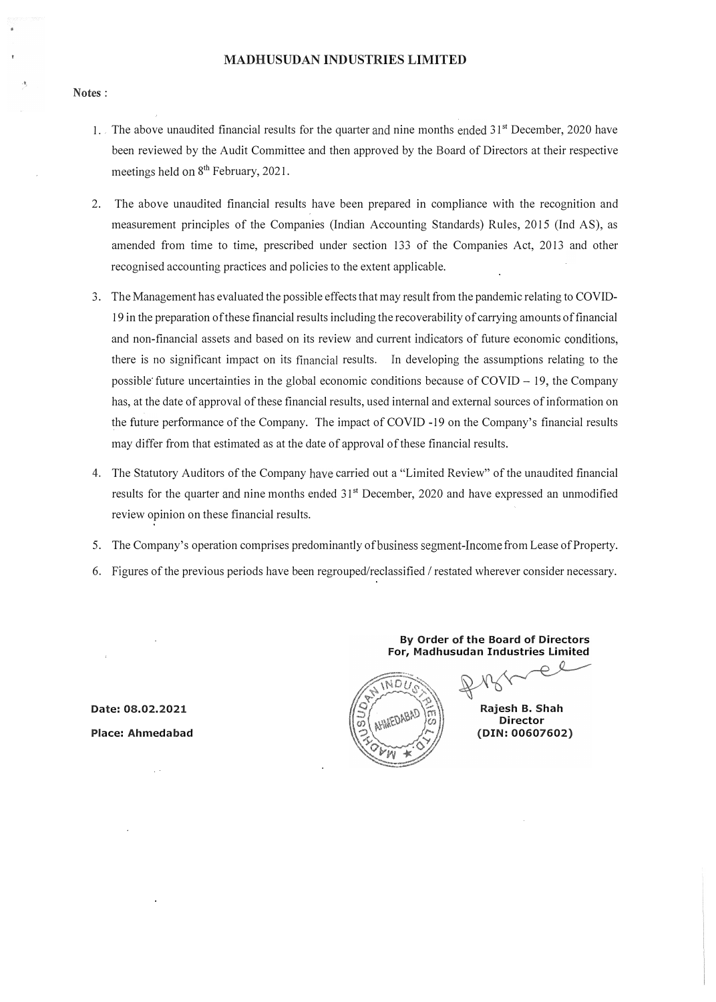## MADHUSUDAN INDUSTRIES LIMITED

#### Notes:

- 1. The above unaudited financial results for the quarter and nine months ended 31<sup>st</sup> December, 2020 have been reviewed by the Audit Committee and then approved by the Board of Directors at their respective meetings held on 8<sup>th</sup> February, 2021.
- 2. The above unaudited financial results have been prepared in compliance with the recognition and measurement principles of the Companies (Indian Accounting Standards) Rules, 2015 (Ind AS), as amended from time to time, prescribed under section 133 of the Companies Act, 2013 and other recognised accounting practices and policies to the extent applicable.
- 3. The Management has evaluated the possible effects that may result from the pandemic relating to COVID-19 in the preparation of these financial results including the recoverability of carrying amounts of financial and non-financial assets and based on its review and current indicators of future economic conditions, there is no significant impact on its financial results. In developing the assumptions relating to the possible future uncertainties in the global economic conditions because of  $\text{COVID} - 19$ , the Company has, at the date of approval of these financial results, used internal and external sources of information on the future performance of the Company. The impact of COVID -19 on the Company's financial results may differ from that estimated as at the date of approval of these financial results.
- 4. The Statutory Auditors of the Company have carried out a "Limited Review" of the unaudited financial results for the quarter and nine months ended 31<sup>st</sup> December, 2020 and have expressed an unmodified review opinion on these financial results.
- 5. The Company's operation comprises predominantly of business segment-Income from Lease of Property.
- 6. Figures of the previous periods have been regrouped/reclassified / restated wherever consider necessary.

Date: 08.02.2021 Place: Ahmedabad



For, Madhusudan Industries limited  $Q$ 

By Order of the Board of Directors

Rajesh B. Shah Director (DIN: 00607602)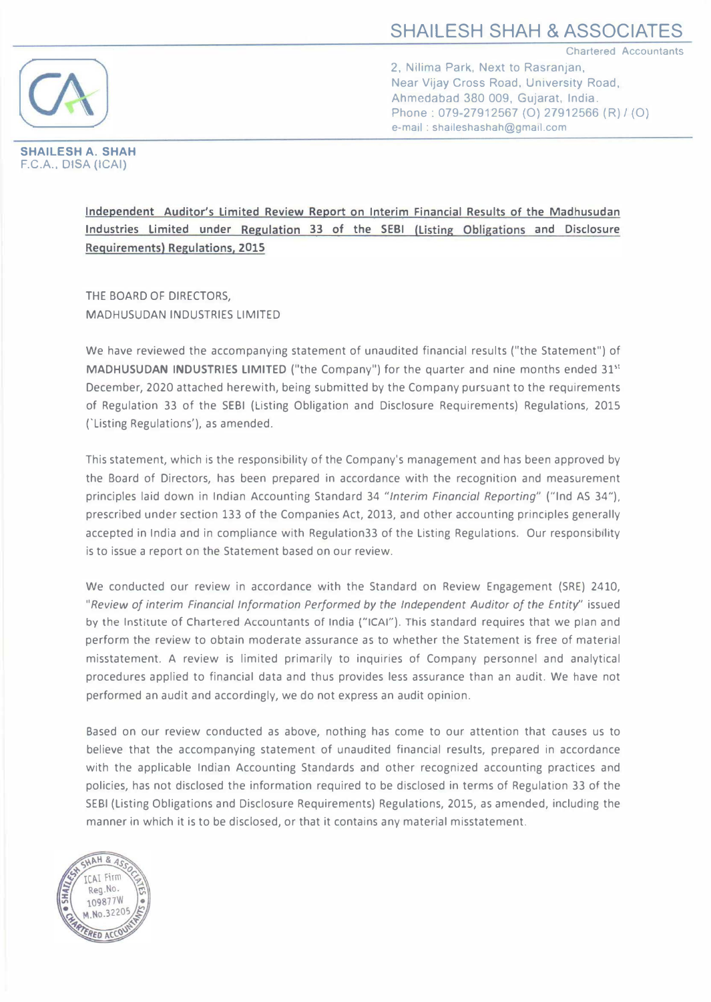Chartered Accountants



2, Nilima Park, Next to Rasranjan, Near Vijay Cross Road, University Road, Ahmedabad 380 009, Gujarat. India. Phone: 079-27912567 (0) 27912566 (R) / (0) e-mail : shaileshashah@gma1l.com

SHAILESH A. SHAH F.C.A., DISA (ICAI)

> Independent Auditor's Limited Review Report on Interim Financial Results of the Madhusudan Industries limited under Regulation 33 of the SEBI (listing Obligations and Disclosure Requirements) Regulations, 2015

THE BOARD OF DIRECTORS, MADHUSUDAN INDUSTRIES LIMITED

We have reviewed the accompanying statement of unaudited financial results ("the Statement") of MADHUSUDAN INDUSTRIES LIMITED ("the Company") for the quarter and nine months ended 31<sup>st</sup> December, 2020 attached herewith, being submitted by the Company pursuant to the requirements of Regulation 33 of the SEBI (Listing Obligation and Disclosure Requirements) Regulations, 2015 ('Listing Regulations'), as amended.

This statement, which is the responsibility of the Company's management and has been approved by the Board of Directors, has been prepared in accordance with the recognition and measurement principles laid down in Indian Accounting Standard 34 "Interim Financial Reporting" ("Ind AS 34"), prescribed under section 133 of the Companies Act, 2013, and other accounting principles generally accepted in India and in compliance with Regulation33 of the Listing Regulations. Our responsibility is to issue a report on the Statement based on our review.

We conducted our review in accordance with the Standard on Review Engagement (SRE) 2410, "Review of interim Financial Information Performed by the Independent Auditor of the Entity" issued by the Institute of Chartered Accountants of India ("ICAI"). This standard requires that we plan and perform the review to obtain moderate assurance as to whether the Statement is free of material misstatement. A review is limited primarily to inquiries of Company personnel and analytical procedures applied to financial data and thus provides less assurance than an audit. We have not performed an audit and accordingly, we do not express an audit opinion.

Based on our review conducted as above, nothing has come to our attention that causes us to believe that the accompanying statement of unaudited financial results, prepared in accordance with the applicable Indian Accounting Standards and other recognized accounting practices and policies, has not disclosed the information required to be disclosed in terms of Regulation 33 of the SEBI (Listing Obligations and Disclosure Requirements) Regulations, 2015, as amended, including the manner in which it is to be disclosed, or that it contains any material misstatement.

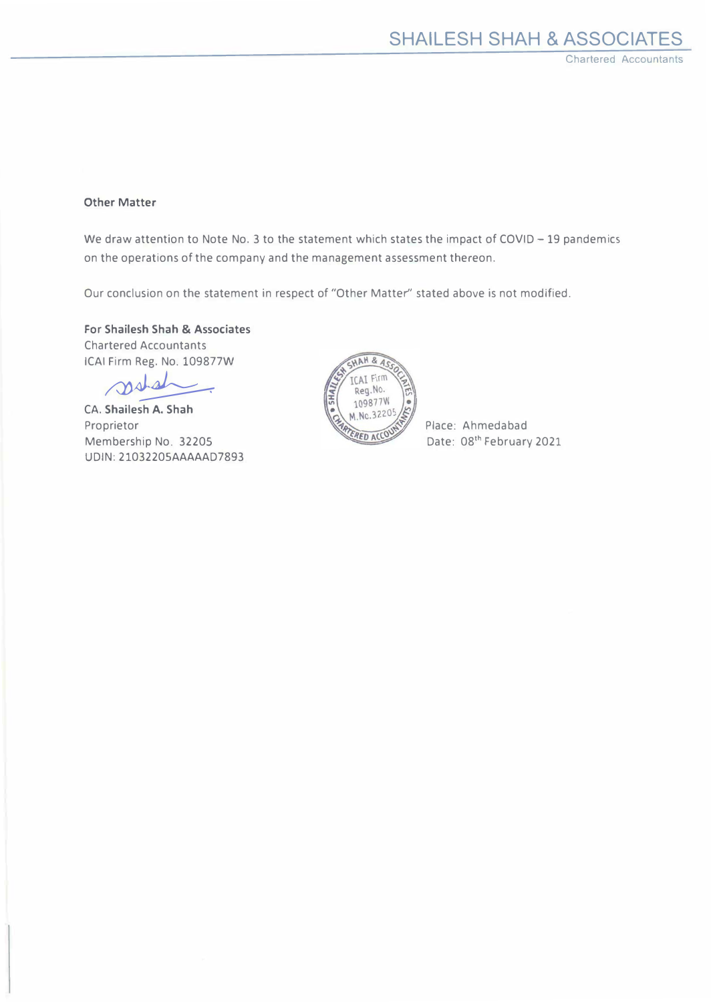# Other Matter

We draw attention to Note No. 3 to the statement which states the impact of COVID - 19 pandemics on the operations of the company and the management assessment thereon.

Our conclusion on the statement in respect of "Other Matter" stated above is not modified.

For Shailesh Shah & Associates Chartered Accountants ICAI Firm Reg. No. 109877W

stal

CA. Shailesh A. Shah Proprietor Membership No. 32205 UDIN: 21032205AAAAAD7893



Place: Ahmedabad Date: 08<sup>th</sup> February 2021